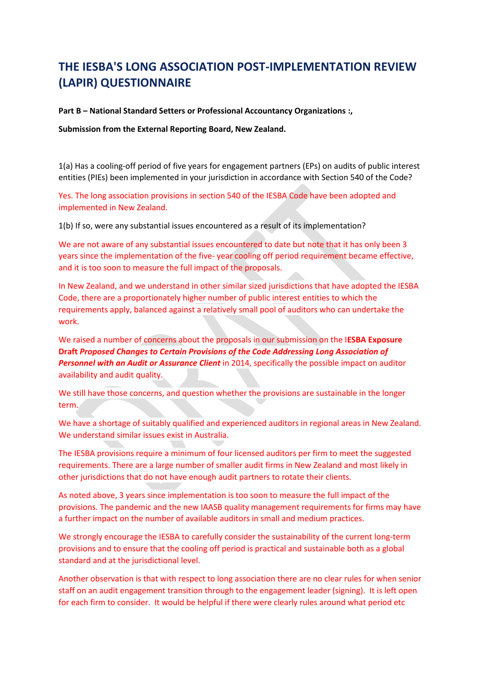## **THE IESBA'S LONG ASSOCIATION POST-IMPLEMENTATION REVIEW (LAPIR) QUESTIONNAIRE**

**Part B – National Standard Setters or Professional Accountancy Organizations :,**

**Submission from the External Reporting Board, New Zealand.**

1(a) Has a cooling-off period of five years for engagement partners (EPs) on audits of public interest entities (PIEs) been implemented in your jurisdiction in accordance with Section 540 of the Code?

Yes. The long association provisions in section 540 of the IESBA Code have been adopted and implemented in New Zealand.

1(b) If so, were any substantial issues encountered as a result of its implementation?

We are not aware of any substantial issues encountered to date but note that it has only been 3 years since the implementation of the five- year cooling off period requirement became effective, and it is too soon to measure the full impact of the proposals.

In New Zealand, and we understand in other similar sized jurisdictions that have adopted the IESBA Code, there are a proportionately higher number of public interest entities to which the requirements apply, balanced against a relatively small pool of auditors who can undertake the work.

We raised a number of concerns about the proposals in our submission on the I**ESBA Exposure Draft** *Proposed Changes to Certain Provisions of the Code Addressing Long Association of Personnel with an Audit or Assurance Client* in 2014, specifically the possible impact on auditor availability and audit quality.

We still have those concerns, and question whether the provisions are sustainable in the longer term.

We have a shortage of suitably qualified and experienced auditors in regional areas in New Zealand. We understand similar issues exist in Australia.

The IESBA provisions require a minimum of four licensed auditors per firm to meet the suggested requirements. There are a large number of smaller audit firms in New Zealand and most likely in other jurisdictions that do not have enough audit partners to rotate their clients.

As noted above, 3 years since implementation is too soon to measure the full impact of the provisions. The pandemic and the new IAASB quality management requirements for firms may have a further impact on the number of available auditors in small and medium practices.

We strongly encourage the IESBA to carefully consider the sustainability of the current long-term provisions and to ensure that the cooling off period is practical and sustainable both as a global standard and at the jurisdictional level.

Another observation is that with respect to long association there are no clear rules for when senior staff on an audit engagement transition through to the engagement leader (signing). It is left open for each firm to consider. It would be helpful if there were clearly rules around what period etc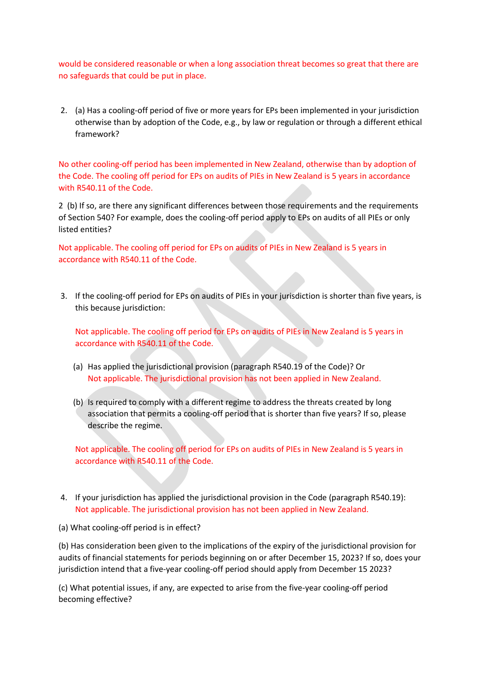would be considered reasonable or when a long association threat becomes so great that there are no safeguards that could be put in place.

2. (a) Has a cooling-off period of five or more years for EPs been implemented in your jurisdiction otherwise than by adoption of the Code, e.g., by law or regulation or through a different ethical framework?

No other cooling-off period has been implemented in New Zealand, otherwise than by adoption of the Code. The cooling off period for EPs on audits of PIEs in New Zealand is 5 years in accordance with R540.11 of the Code.

2 (b) If so, are there any significant differences between those requirements and the requirements of Section 540? For example, does the cooling-off period apply to EPs on audits of all PIEs or only listed entities?

Not applicable. The cooling off period for EPs on audits of PIEs in New Zealand is 5 years in accordance with R540.11 of the Code.

3. If the cooling-off period for EPs on audits of PIEs in your jurisdiction is shorter than five years, is this because jurisdiction:

Not applicable. The cooling off period for EPs on audits of PIEs in New Zealand is 5 years in accordance with R540.11 of the Code.

- (a) Has applied the jurisdictional provision (paragraph R540.19 of the Code)? Or Not applicable. The jurisdictional provision has not been applied in New Zealand.
- (b) Is required to comply with a different regime to address the threats created by long association that permits a cooling-off period that is shorter than five years? If so, please describe the regime.

Not applicable. The cooling off period for EPs on audits of PIEs in New Zealand is 5 years in accordance with R540.11 of the Code.

- 4. If your jurisdiction has applied the jurisdictional provision in the Code (paragraph R540.19): Not applicable. The jurisdictional provision has not been applied in New Zealand.
- (a) What cooling-off period is in effect?

(b) Has consideration been given to the implications of the expiry of the jurisdictional provision for audits of financial statements for periods beginning on or after December 15, 2023? If so, does your jurisdiction intend that a five-year cooling-off period should apply from December 15 2023?

(c) What potential issues, if any, are expected to arise from the five-year cooling-off period becoming effective?